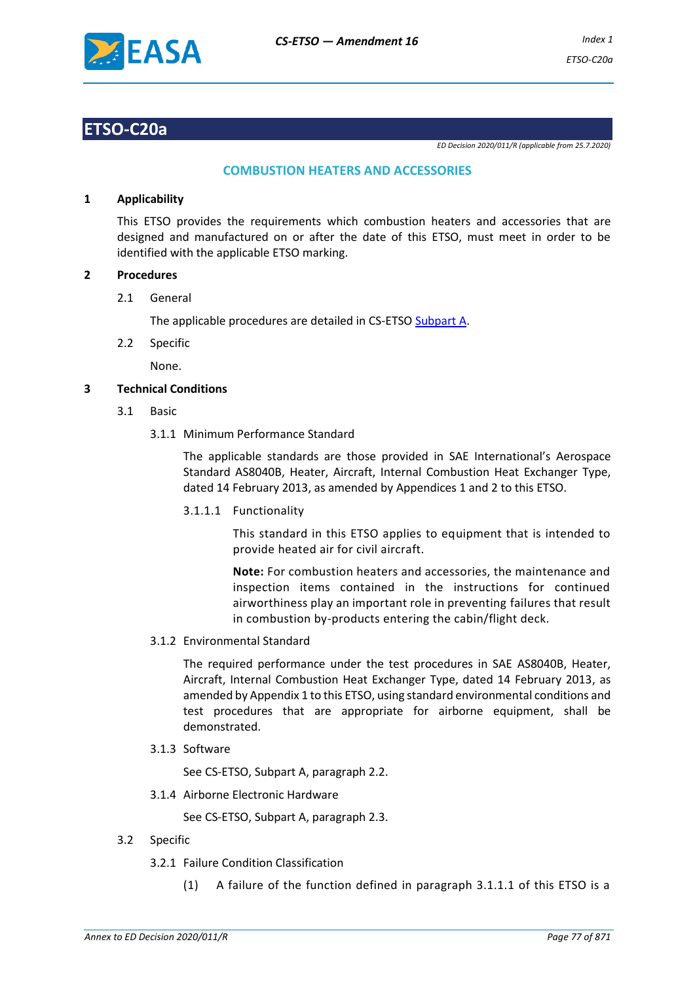

## **ETSO-C20a**

*ED Decision 2020/011/R (applicable from 25.7.2020)*

## **COMBUSTION HEATERS AND ACCESSORIES**

### **1 Applicability**

This ETSO provides the requirements which combustion heaters and accessories that are designed and manufactured on or after the date of this ETSO, must meet in order to be identified with the applicable ETSO marking.

## **2 Procedures**

2.1 General

The applicable procedures are detailed in CS-ETSO Subpart A.

2.2 Specific

None.

## **3 Technical Conditions**

- 3.1 Basic
	- 3.1.1 Minimum Performance Standard

The applicable standards are those provided in SAE International's Aerospace Standard AS8040B, Heater, Aircraft, Internal Combustion Heat Exchanger Type, dated 14 February 2013, as amended by Appendices 1 and 2 to this ETSO.

3.1.1.1 Functionality

This standard in this ETSO applies to equipment that is intended to provide heated air for civil aircraft.

**Note:** For combustion heaters and accessories, the maintenance and inspection items contained in the instructions for continued airworthiness play an important role in preventing failures that result in combustion by-products entering the cabin/flight deck.

### 3.1.2 Environmental Standard

The required performance under the test procedures in SAE AS8040B, Heater, Aircraft, Internal Combustion Heat Exchanger Type, dated 14 February 2013, as amended by Appendix 1 to this ETSO, using standard environmental conditions and test procedures that are appropriate for airborne equipment, shall be demonstrated.

3.1.3 Software

See CS-ETSO, Subpart A, paragraph 2.2.

3.1.4 Airborne Electronic Hardware

See CS-ETSO, Subpart A, paragraph 2.3.

- 3.2 Specific
	- 3.2.1 Failure Condition Classification
		- (1) A failure of the function defined in paragraph 3.1.1.1 of this ETSO is a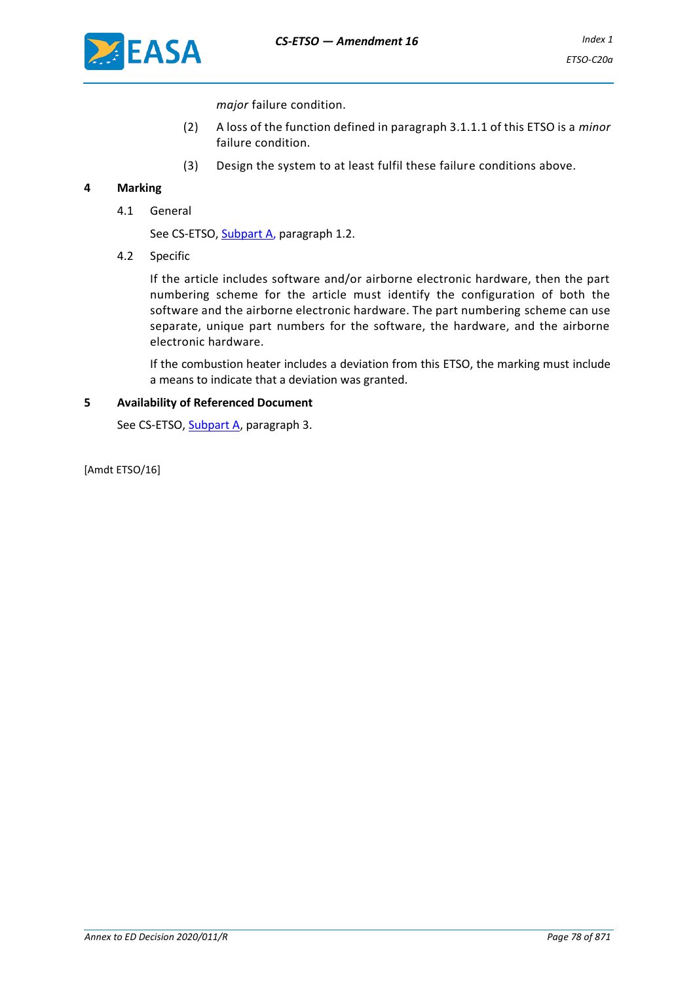

*major* failure condition.

- (2) A loss of the function defined in paragraph 3.1.1.1 of this ETSO is a *minor* failure condition.
- (3) Design the system to at least fulfil these failure conditions above.

## **4 Marking**

4.1 General

See CS-ETSO, **Subpart A**, paragraph 1.2.

4.2 Specific

If the article includes software and/or airborne electronic hardware, then the part numbering scheme for the article must identify the configuration of both the software and the airborne electronic hardware. The part numbering scheme can use separate, unique part numbers for the software, the hardware, and the airborne electronic hardware.

If the combustion heater includes a deviation from this ETSO, the marking must include a means to indicate that a deviation was granted.

### **5 Availability of Referenced Document**

See CS-ETSO, Subpart A, paragraph 3.

[Amdt ETSO/16]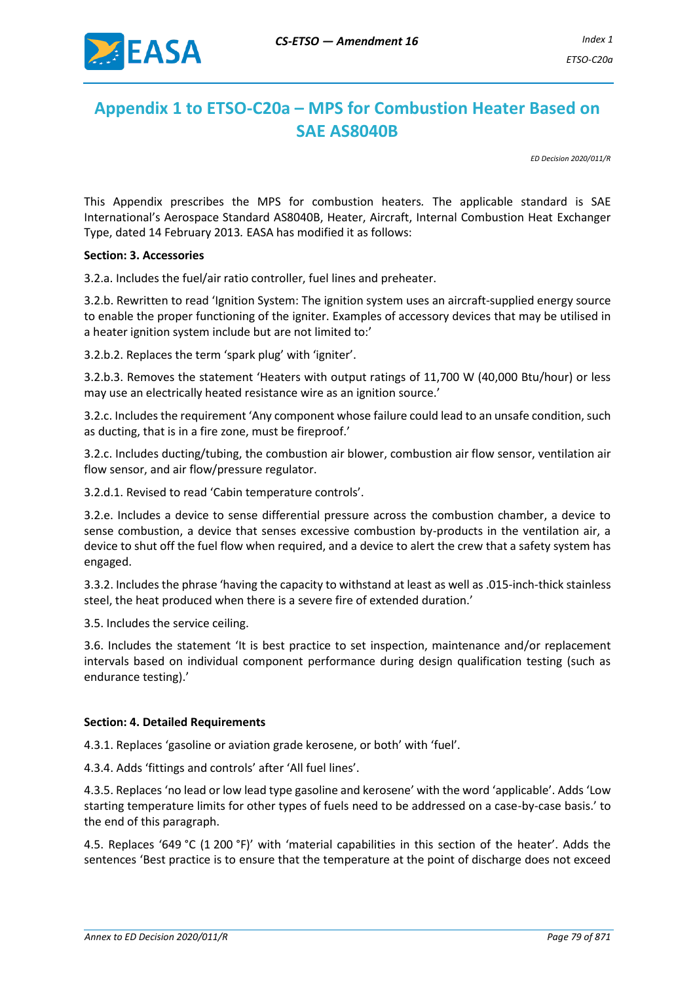

## **Appendix 1 to ETSO-C20a – MPS for Combustion Heater Based on SAE AS8040B**

*ED Decision 2020/011/R*

This Appendix prescribes the MPS for combustion heaters*.* The applicable standard is SAE International's Aerospace Standard AS8040B, Heater, Aircraft, Internal Combustion Heat Exchanger Type, dated 14 February 2013*.* EASA has modified it as follows:

#### **Section: 3. Accessories**

3.2.a. Includes the fuel/air ratio controller, fuel lines and preheater.

3.2.b. Rewritten to read 'Ignition System: The ignition system uses an aircraft-supplied energy source to enable the proper functioning of the igniter. Examples of accessory devices that may be utilised in a heater ignition system include but are not limited to:'

3.2.b.2. Replaces the term 'spark plug' with 'igniter'.

3.2.b.3. Removes the statement 'Heaters with output ratings of 11,700 W (40,000 Btu/hour) or less may use an electrically heated resistance wire as an ignition source.'

3.2.c. Includes the requirement 'Any component whose failure could lead to an unsafe condition, such as ducting, that is in a fire zone, must be fireproof.'

3.2.c. Includes ducting/tubing, the combustion air blower, combustion air flow sensor, ventilation air flow sensor, and air flow/pressure regulator.

3.2.d.1. Revised to read 'Cabin temperature controls'.

3.2.e. Includes a device to sense differential pressure across the combustion chamber, a device to sense combustion, a device that senses excessive combustion by-products in the ventilation air, a device to shut off the fuel flow when required, and a device to alert the crew that a safety system has engaged.

3.3.2. Includes the phrase 'having the capacity to withstand at least as well as .015-inch-thick stainless steel, the heat produced when there is a severe fire of extended duration.'

3.5. Includes the service ceiling.

3.6. Includes the statement 'It is best practice to set inspection, maintenance and/or replacement intervals based on individual component performance during design qualification testing (such as endurance testing).'

### **Section: 4. Detailed Requirements**

4.3.1. Replaces 'gasoline or aviation grade kerosene, or both' with 'fuel'.

4.3.4. Adds 'fittings and controls' after 'All fuel lines'.

4.3.5. Replaces 'no lead or low lead type gasoline and kerosene' with the word 'applicable'. Adds 'Low starting temperature limits for other types of fuels need to be addressed on a case-by-case basis.' to the end of this paragraph.

4.5. Replaces '649 °C (1 200 °F)' with 'material capabilities in this section of the heater'. Adds the sentences 'Best practice is to ensure that the temperature at the point of discharge does not exceed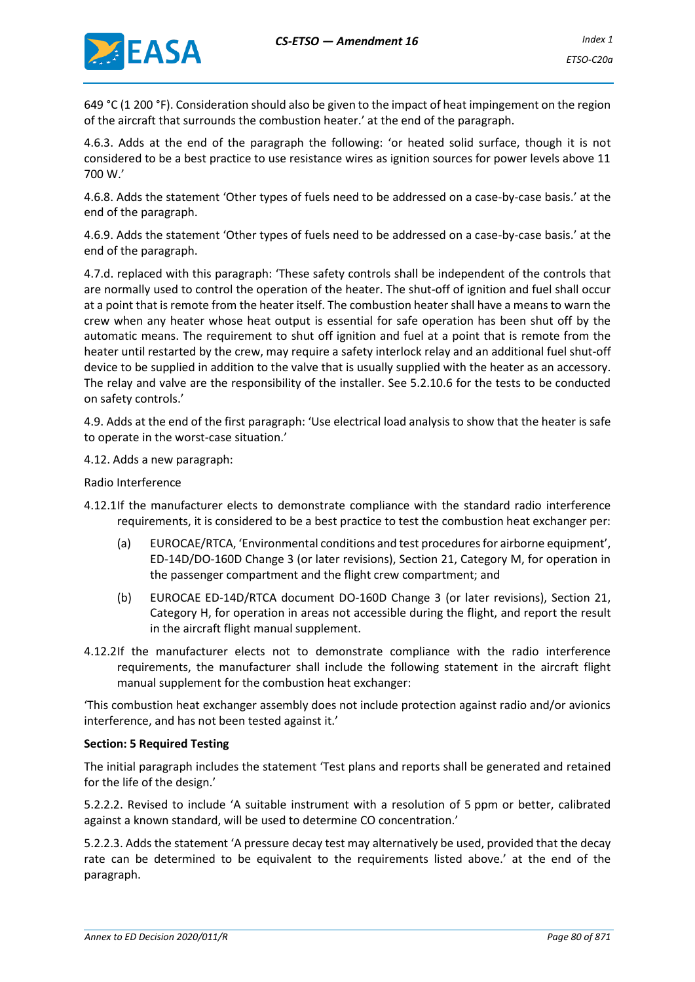

649 °C (1 200 °F). Consideration should also be given to the impact of heat impingement on the region of the aircraft that surrounds the combustion heater.' at the end of the paragraph.

4.6.3. Adds at the end of the paragraph the following: 'or heated solid surface, though it is not considered to be a best practice to use resistance wires as ignition sources for power levels above 11 700 W.'

4.6.8. Adds the statement 'Other types of fuels need to be addressed on a case-by-case basis.' at the end of the paragraph.

4.6.9. Adds the statement 'Other types of fuels need to be addressed on a case-by-case basis.' at the end of the paragraph.

4.7.d. replaced with this paragraph: 'These safety controls shall be independent of the controls that are normally used to control the operation of the heater. The shut-off of ignition and fuel shall occur at a point that is remote from the heater itself. The combustion heater shall have a means to warn the crew when any heater whose heat output is essential for safe operation has been shut off by the automatic means. The requirement to shut off ignition and fuel at a point that is remote from the heater until restarted by the crew, may require a safety interlock relay and an additional fuel shut-off device to be supplied in addition to the valve that is usually supplied with the heater as an accessory. The relay and valve are the responsibility of the installer. See 5.2.10.6 for the tests to be conducted on safety controls.'

4.9. Adds at the end of the first paragraph: 'Use electrical load analysis to show that the heater is safe to operate in the worst-case situation.'

4.12. Adds a new paragraph:

Radio Interference

- 4.12.1If the manufacturer elects to demonstrate compliance with the standard radio interference requirements, it is considered to be a best practice to test the combustion heat exchanger per:
	- (a) EUROCAE/RTCA, 'Environmental conditions and test procedures for airborne equipment', ED-14D/DO-160D Change 3 (or later revisions), Section 21, Category M, for operation in the passenger compartment and the flight crew compartment; and
	- (b) EUROCAE ED-14D/RTCA document DO-160D Change 3 (or later revisions), Section 21, Category H, for operation in areas not accessible during the flight, and report the result in the aircraft flight manual supplement.
- 4.12.2If the manufacturer elects not to demonstrate compliance with the radio interference requirements, the manufacturer shall include the following statement in the aircraft flight manual supplement for the combustion heat exchanger:

'This combustion heat exchanger assembly does not include protection against radio and/or avionics interference, and has not been tested against it.'

### **Section: 5 Required Testing**

The initial paragraph includes the statement 'Test plans and reports shall be generated and retained for the life of the design.'

5.2.2.2. Revised to include 'A suitable instrument with a resolution of 5 ppm or better, calibrated against a known standard, will be used to determine CO concentration.'

5.2.2.3. Adds the statement 'A pressure decay test may alternatively be used, provided that the decay rate can be determined to be equivalent to the requirements listed above.' at the end of the paragraph.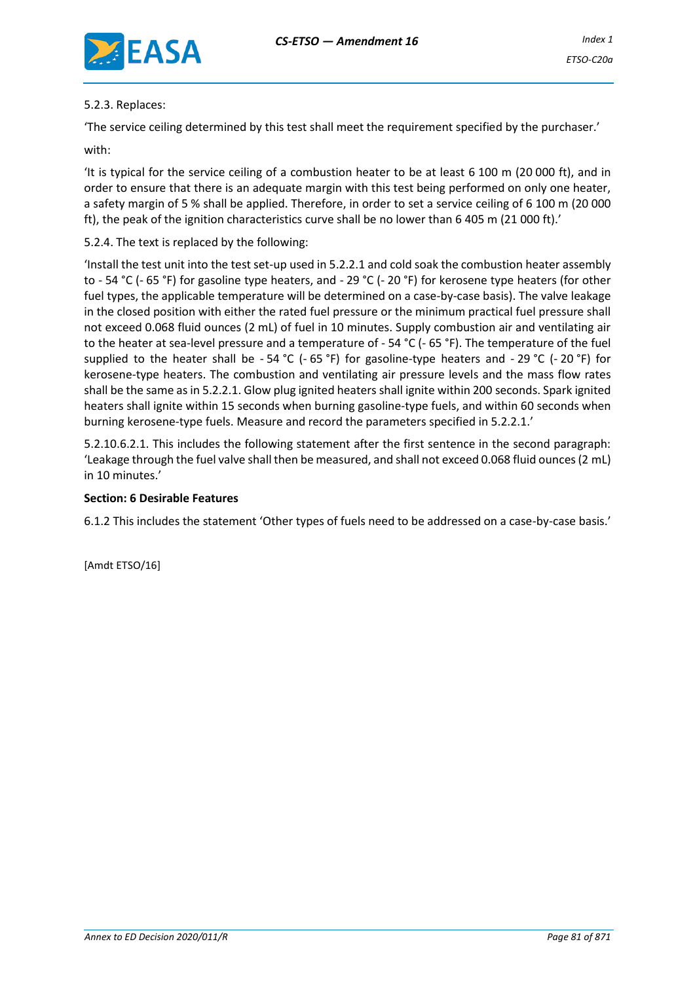

## 5.2.3. Replaces:

'The service ceiling determined by this test shall meet the requirement specified by the purchaser.'

with:

'It is typical for the service ceiling of a combustion heater to be at least 6 100 m (20 000 ft), and in order to ensure that there is an adequate margin with this test being performed on only one heater, a safety margin of 5 % shall be applied. Therefore, in order to set a service ceiling of 6 100 m (20 000 ft), the peak of the ignition characteristics curve shall be no lower than 6 405 m (21 000 ft).'

## 5.2.4. The text is replaced by the following:

'Install the test unit into the test set-up used in 5.2.2.1 and cold soak the combustion heater assembly to - 54 °C (- 65 °F) for gasoline type heaters, and - 29 °C (- 20 °F) for kerosene type heaters (for other fuel types, the applicable temperature will be determined on a case-by-case basis). The valve leakage in the closed position with either the rated fuel pressure or the minimum practical fuel pressure shall not exceed 0.068 fluid ounces (2 mL) of fuel in 10 minutes. Supply combustion air and ventilating air to the heater at sea-level pressure and a temperature of - 54 °C (- 65 °F). The temperature of the fuel supplied to the heater shall be - 54 °C (- 65 °F) for gasoline-type heaters and - 29 °C (- 20 °F) for kerosene-type heaters. The combustion and ventilating air pressure levels and the mass flow rates shall be the same as in 5.2.2.1. Glow plug ignited heaters shall ignite within 200 seconds. Spark ignited heaters shall ignite within 15 seconds when burning gasoline-type fuels, and within 60 seconds when burning kerosene-type fuels. Measure and record the parameters specified in 5.2.2.1.'

5.2.10.6.2.1. This includes the following statement after the first sentence in the second paragraph: 'Leakage through the fuel valve shall then be measured, and shall not exceed 0.068 fluid ounces (2 mL) in 10 minutes.'

### **Section: 6 Desirable Features**

6.1.2 This includes the statement 'Other types of fuels need to be addressed on a case-by-case basis.'

[Amdt ETSO/16]